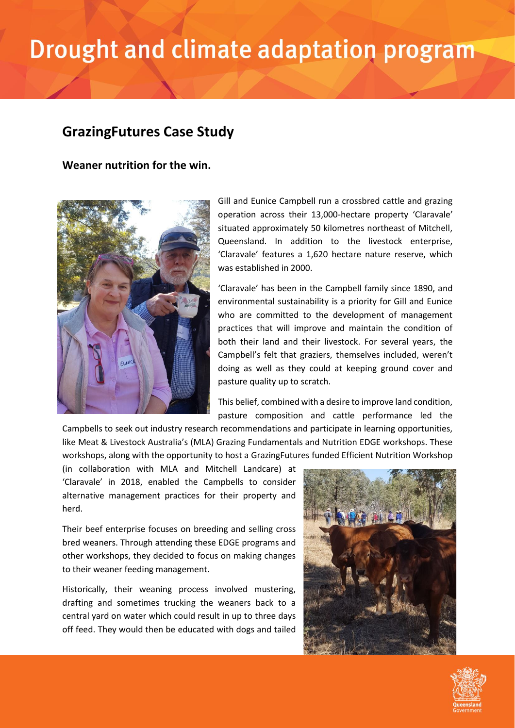## Drought and climate adaptation program

## **GrazingFutures Case Study**

**Weaner nutrition for the win.**



Gill and Eunice Campbell run a crossbred cattle and grazing operation across their 13,000-hectare property 'Claravale' situated approximately 50 kilometres northeast of Mitchell, Queensland. In addition to the livestock enterprise, 'Claravale' features a 1,620 hectare nature reserve, which was established in 2000.

'Claravale' has been in the Campbell family since 1890, and environmental sustainability is a priority for Gill and Eunice who are committed to the development of management practices that will improve and maintain the condition of both their land and their livestock. For several years, the Campbell's felt that graziers, themselves included, weren't doing as well as they could at keeping ground cover and pasture quality up to scratch.

This belief, combined with a desire to improve land condition, pasture composition and cattle performance led the

Campbells to seek out industry research recommendations and participate in learning opportunities, like Meat & Livestock Australia's (MLA) Grazing Fundamentals and Nutrition EDGE workshops. These workshops, along with the opportunity to host a GrazingFutures funded Efficient Nutrition Workshop

(in collaboration with MLA and Mitchell Landcare) at 'Claravale' in 2018, enabled the Campbells to consider alternative management practices for their property and herd.

Their beef enterprise focuses on breeding and selling cross bred weaners. Through attending these EDGE programs and other workshops, they decided to focus on making changes to their weaner feeding management.

Historically, their weaning process involved mustering, drafting and sometimes trucking the weaners back to a central yard on water which could result in up to three days off feed. They would then be educated with dogs and tailed



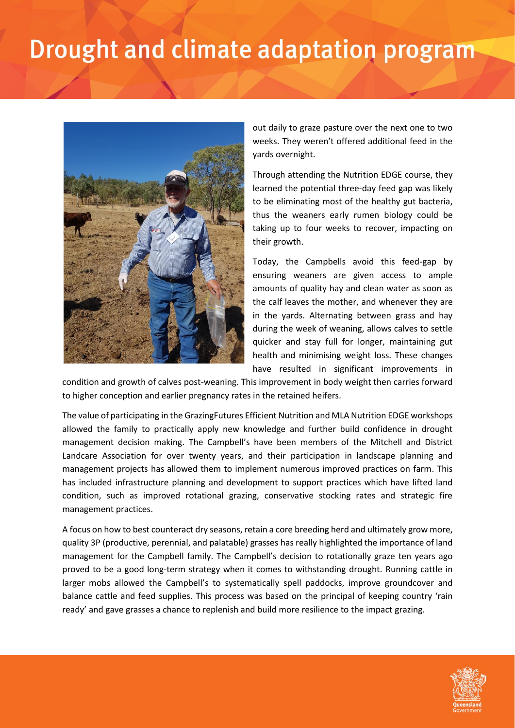## Drought and climate adaptation program



out daily to graze pasture over the next one to two weeks. They weren't offered additional feed in the yards overnight.

Through attending the Nutrition EDGE course, they learned the potential three-day feed gap was likely to be eliminating most of the healthy gut bacteria, thus the weaners early rumen biology could be taking up to four weeks to recover, impacting on their growth.

Today, the Campbells avoid this feed-gap by ensuring weaners are given access to ample amounts of quality hay and clean water as soon as the calf leaves the mother, and whenever they are in the yards. Alternating between grass and hay during the week of weaning, allows calves to settle quicker and stay full for longer, maintaining gut health and minimising weight loss. These changes have resulted in significant improvements in

condition and growth of calves post-weaning. This improvement in body weight then carries forward to higher conception and earlier pregnancy rates in the retained heifers.

The value of participating in the GrazingFutures Efficient Nutrition and MLA Nutrition EDGE workshops allowed the family to practically apply new knowledge and further build confidence in drought management decision making. The Campbell's have been members of the Mitchell and District Landcare Association for over twenty years, and their participation in landscape planning and management projects has allowed them to implement numerous improved practices on farm. This has included infrastructure planning and development to support practices which have lifted land condition, such as improved rotational grazing, conservative stocking rates and strategic fire management practices.

A focus on how to best counteract dry seasons, retain a core breeding herd and ultimately grow more, quality 3P (productive, perennial, and palatable) grasses has really highlighted the importance of land management for the Campbell family. The Campbell's decision to rotationally graze ten years ago proved to be a good long-term strategy when it comes to withstanding drought. Running cattle in larger mobs allowed the Campbell's to systematically spell paddocks, improve groundcover and balance cattle and feed supplies. This process was based on the principal of keeping country 'rain ready' and gave grasses a chance to replenish and build more resilience to the impact grazing.